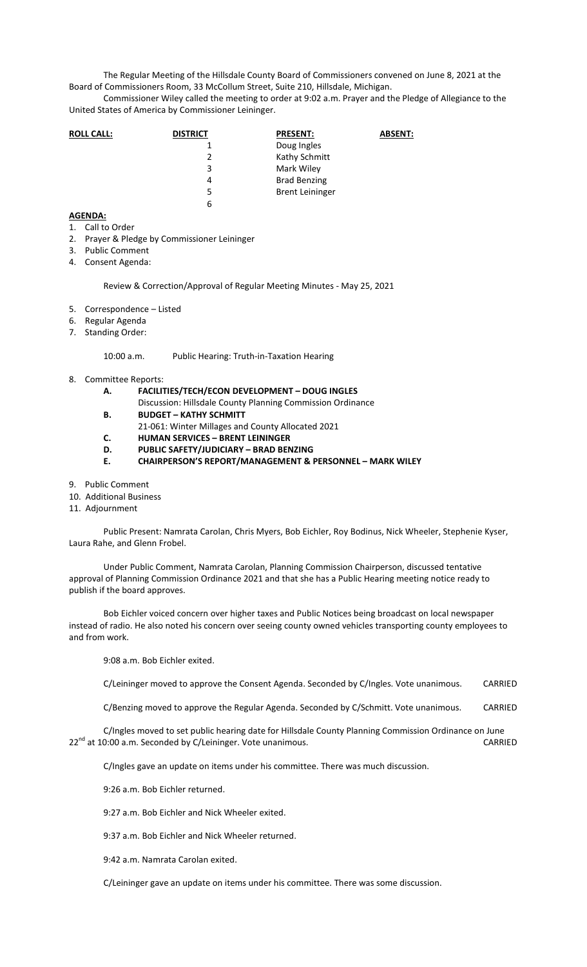The Regular Meeting of the Hillsdale County Board of Commissioners convened on June 8, 2021 at the Board of Commissioners Room, 33 McCollum Street, Suite 210, Hillsdale, Michigan.

Commissioner Wiley called the meeting to order at 9:02 a.m. Prayer and the Pledge of Allegiance to the United States of America by Commissioner Leininger.

| <b>ROLL CALL:</b> | <b>DISTRICT</b> | <b>PRESENT:</b>        | <b>ABSENT:</b> |
|-------------------|-----------------|------------------------|----------------|
|                   |                 | Doug Ingles            |                |
|                   | 2               | Kathy Schmitt          |                |
|                   | 3               | Mark Wiley             |                |
|                   | 4               | <b>Brad Benzing</b>    |                |
|                   | 5               | <b>Brent Leininger</b> |                |
|                   | 6               |                        |                |
|                   |                 |                        |                |

## **AGENDA:**

- 1. Call to Order
- 2. Prayer & Pledge by Commissioner Leininger
- 3. Public Comment
- 4. Consent Agenda:

Review & Correction/Approval of Regular Meeting Minutes - May 25, 2021

- 5. Correspondence Listed
- 6. Regular Agenda
- 7. Standing Order:

10:00 a.m. Public Hearing: Truth-in-Taxation Hearing

- 8. Committee Reports:
	- **A. FACILITIES/TECH/ECON DEVELOPMENT DOUG INGLES**  Discussion: Hillsdale County Planning Commission Ordinance
	- **B. BUDGET KATHY SCHMITT**
	- 21-061: Winter Millages and County Allocated 2021
	- **C. HUMAN SERVICES BRENT LEININGER**
	- **D. PUBLIC SAFETY/JUDICIARY BRAD BENZING**
	- **E. CHAIRPERSON'S REPORT/MANAGEMENT & PERSONNEL MARK WILEY**
- 9. Public Comment
- 10. Additional Business
- 11. Adjournment

Public Present: Namrata Carolan, Chris Myers, Bob Eichler, Roy Bodinus, Nick Wheeler, Stephenie Kyser, Laura Rahe, and Glenn Frobel.

Under Public Comment, Namrata Carolan, Planning Commission Chairperson, discussed tentative approval of Planning Commission Ordinance 2021 and that she has a Public Hearing meeting notice ready to publish if the board approves.

Bob Eichler voiced concern over higher taxes and Public Notices being broadcast on local newspaper instead of radio. He also noted his concern over seeing county owned vehicles transporting county employees to and from work.

9:08 a.m. Bob Eichler exited.

C/Leininger moved to approve the Consent Agenda. Seconded by C/Ingles. Vote unanimous. CARRIED

C/Benzing moved to approve the Regular Agenda. Seconded by C/Schmitt. Vote unanimous. CARRIED

C/Ingles moved to set public hearing date for Hillsdale County Planning Commission Ordinance on June 22<sup>nd</sup> at 10:00 a.m. Seconded by C/Leininger. Vote unanimous.

C/Ingles gave an update on items under his committee. There was much discussion.

9:26 a.m. Bob Eichler returned.

9:27 a.m. Bob Eichler and Nick Wheeler exited.

9:37 a.m. Bob Eichler and Nick Wheeler returned.

9:42 a.m. Namrata Carolan exited.

C/Leininger gave an update on items under his committee. There was some discussion.